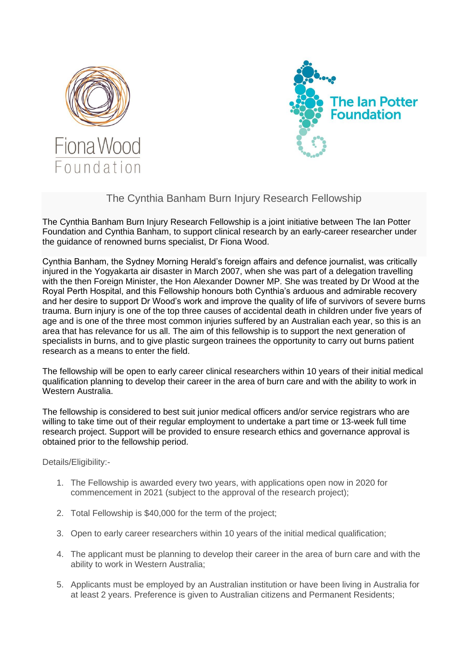



## The Cynthia Banham Burn Injury Research Fellowship

The Cynthia Banham Burn Injury Research Fellowship is a joint initiative between The Ian Potter Foundation and Cynthia Banham, to support clinical research by an early-career researcher under the guidance of renowned burns specialist, Dr Fiona Wood.

Cynthia Banham, the Sydney Morning Herald's foreign affairs and defence journalist, was critically injured in the Yogyakarta air disaster in March 2007, when she was part of a delegation travelling with the then Foreign Minister, the Hon Alexander Downer MP. She was treated by Dr Wood at the Royal Perth Hospital, and this Fellowship honours both Cynthia's arduous and admirable recovery and her desire to support Dr Wood's work and improve the quality of life of survivors of severe burns trauma. Burn injury is one of the top three causes of accidental death in children under five years of age and is one of the three most common injuries suffered by an Australian each year, so this is an area that has relevance for us all. The aim of this fellowship is to support the next generation of specialists in burns, and to give plastic surgeon trainees the opportunity to carry out burns patient research as a means to enter the field.

The fellowship will be open to early career clinical researchers within 10 years of their initial medical qualification planning to develop their career in the area of burn care and with the ability to work in Western Australia.

The fellowship is considered to best suit junior medical officers and/or service registrars who are willing to take time out of their regular employment to undertake a part time or 13-week full time research project. Support will be provided to ensure research ethics and governance approval is obtained prior to the fellowship period.

Details/Eligibility:-

- 1. The Fellowship is awarded every two years, with applications open now in 2020 for commencement in 2021 (subject to the approval of the research project);
- 2. Total Fellowship is \$40,000 for the term of the project;
- 3. Open to early career researchers within 10 years of the initial medical qualification;
- 4. The applicant must be planning to develop their career in the area of burn care and with the ability to work in Western Australia;
- 5. Applicants must be employed by an Australian institution or have been living in Australia for at least 2 years. Preference is given to Australian citizens and Permanent Residents;